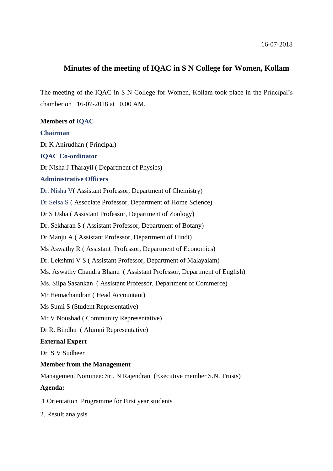## **Minutes of the meeting of IQAC in S N College for Women, Kollam**

The meeting of the IQAC in S N College for Women, Kollam took place in the Principal's chamber on 16-07-2018 at 10.00 AM.

**Members of IQAC Chairman** Dr K Anirudhan ( Principal) **IQAC Co-ordinator** Dr Nisha J Tharayil ( Department of Physics) **Administrative Officers** Dr. Nisha V( Assistant Professor, Department of Chemistry) Dr Selsa S ( Associate Professor, Department of Home Science) Dr S Usha ( Assistant Professor, Department of Zoology) Dr. Sekharan S ( Assistant Professor, Department of Botany) Dr Manju A ( Assistant Professor, Department of Hindi) Ms Aswathy R ( Assistant Professor, Department of Economics) Dr. Lekshmi V S ( Assistant Professor, Department of Malayalam) Ms. Aswathy Chandra Bhanu ( Assistant Professor, Department of English) Ms. Silpa Sasankan ( Assistant Professor, Department of Commerce) Mr Hemachandran ( Head Accountant) Ms Sumi S (Student Representative) Mr V Noushad ( Community Representative) Dr R. Bindhu ( Alumni Representative) **External Expert** Dr S V Sudheer **Member from the Management** Management Nominee: Sri. N Rajendran (Executive member S.N. Trusts) **Agenda:** 1.Orientation Programme for First year students

2. Result analysis